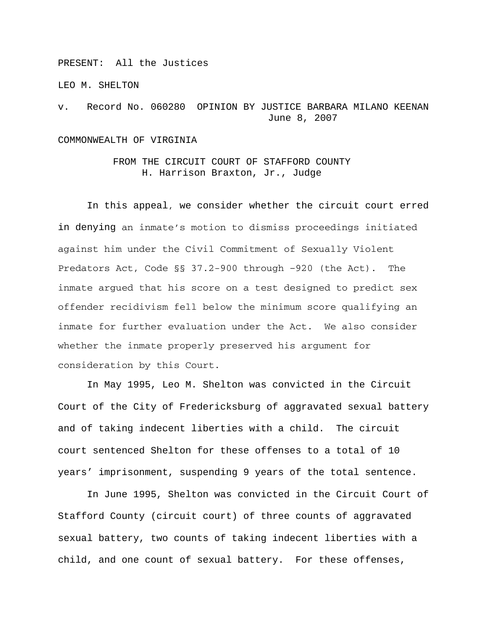PRESENT: All the Justices

LEO M. SHELTON

v. Record No. 060280 OPINION BY JUSTICE BARBARA MILANO KEENAN June 8, 2007

## COMMONWEALTH OF VIRGINIA

## FROM THE CIRCUIT COURT OF STAFFORD COUNTY H. Harrison Braxton, Jr., Judge

In this appeal, we consider whether the circuit court erred in denying an inmate's motion to dismiss proceedings initiated against him under the Civil Commitment of Sexually Violent Predators Act, Code §§ 37.2-900 through –920 (the Act). The inmate argued that his score on a test designed to predict sex offender recidivism fell below the minimum score qualifying an inmate for further evaluation under the Act. We also consider whether the inmate properly preserved his argument for consideration by this Court.

In May 1995, Leo M. Shelton was convicted in the Circuit Court of the City of Fredericksburg of aggravated sexual battery and of taking indecent liberties with a child. The circuit court sentenced Shelton for these offenses to a total of 10 years' imprisonment, suspending 9 years of the total sentence.

In June 1995, Shelton was convicted in the Circuit Court of Stafford County (circuit court) of three counts of aggravated sexual battery, two counts of taking indecent liberties with a child, and one count of sexual battery. For these offenses,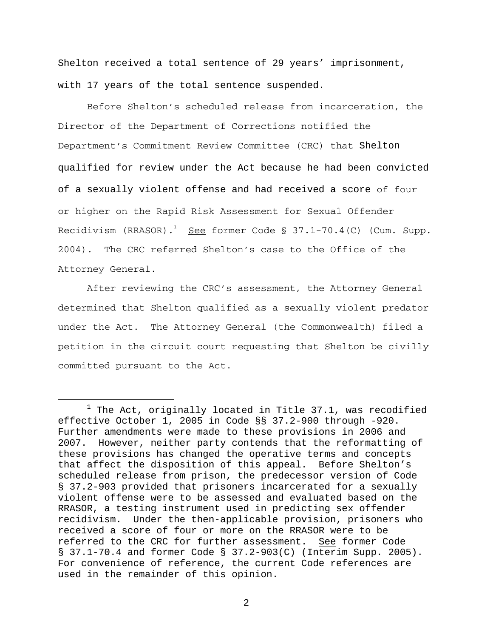Shelton received a total sentence of 29 years' imprisonment, with 17 years of the total sentence suspended.

Before Shelton's scheduled release from incarceration, the Director of the Department of Corrections notified the Department's Commitment Review Committee (CRC) that Shelton qualified for review under the Act because he had been convicted of a sexually violent offense and had received a score of four or higher on the Rapid Risk Assessment for Sexual Offender Recidivism (RRASOR).<sup>1</sup> <u>See</u> former Code § 37.1-70.4(C) (Cum. Supp. 2004). The CRC referred Shelton's case to the Office of the Attorney General.

After reviewing the CRC's assessment, the Attorney General determined that Shelton qualified as a sexually violent predator under the Act. The Attorney General (the Commonwealth) filed a petition in the circuit court requesting that Shelton be civilly committed pursuant to the Act.

<sup>&</sup>lt;u>1</u>  $1$  The Act, originally located in Title 37.1, was recodified effective October 1, 2005 in Code §§ 37.2-900 through -920. Further amendments were made to these provisions in 2006 and 2007. However, neither party contends that the reformatting of these provisions has changed the operative terms and concepts that affect the disposition of this appeal. Before Shelton's scheduled release from prison, the predecessor version of Code § 37.2-903 provided that prisoners incarcerated for a sexually violent offense were to be assessed and evaluated based on the RRASOR, a testing instrument used in predicting sex offender recidivism. Under the then-applicable provision, prisoners who received a score of four or more on the RRASOR were to be referred to the CRC for further assessment. See former Code § 37.1-70.4 and former Code § 37.2-903(C) (Interim Supp. 2005). For convenience of reference, the current Code references are used in the remainder of this opinion.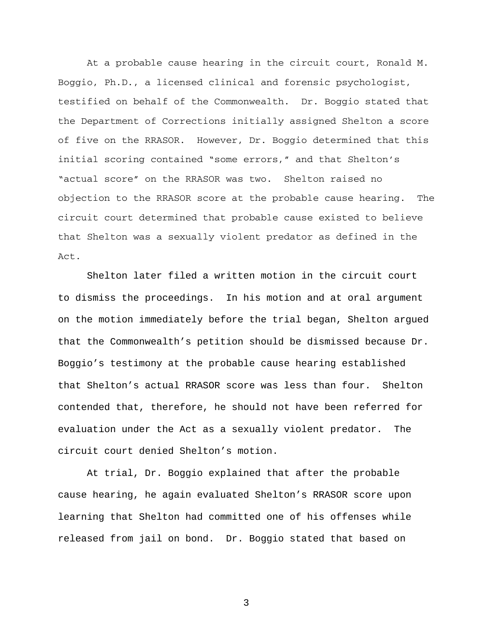At a probable cause hearing in the circuit court, Ronald M. Boggio, Ph.D., a licensed clinical and forensic psychologist, testified on behalf of the Commonwealth. Dr. Boggio stated that the Department of Corrections initially assigned Shelton a score of five on the RRASOR. However, Dr. Boggio determined that this initial scoring contained "some errors," and that Shelton's "actual score" on the RRASOR was two. Shelton raised no objection to the RRASOR score at the probable cause hearing. The circuit court determined that probable cause existed to believe that Shelton was a sexually violent predator as defined in the Act.

 Shelton later filed a written motion in the circuit court to dismiss the proceedings. In his motion and at oral argument on the motion immediately before the trial began, Shelton argued that the Commonwealth's petition should be dismissed because Dr. Boggio's testimony at the probable cause hearing established that Shelton's actual RRASOR score was less than four. Shelton contended that, therefore, he should not have been referred for evaluation under the Act as a sexually violent predator. The circuit court denied Shelton's motion.

 At trial, Dr. Boggio explained that after the probable cause hearing, he again evaluated Shelton's RRASOR score upon learning that Shelton had committed one of his offenses while released from jail on bond. Dr. Boggio stated that based on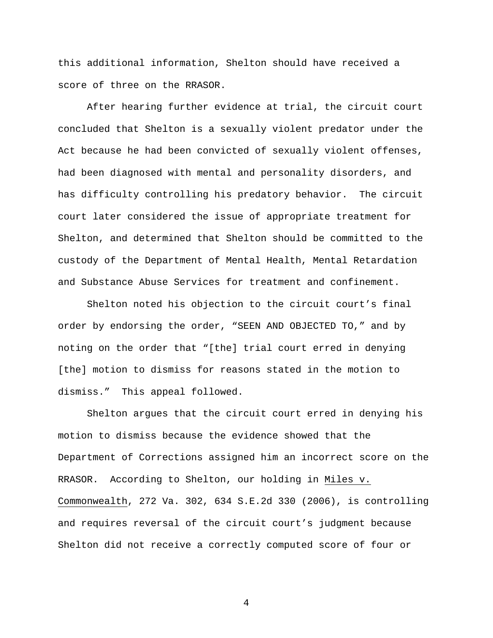this additional information, Shelton should have received a score of three on the RRASOR.

 After hearing further evidence at trial, the circuit court concluded that Shelton is a sexually violent predator under the Act because he had been convicted of sexually violent offenses, had been diagnosed with mental and personality disorders, and has difficulty controlling his predatory behavior. The circuit court later considered the issue of appropriate treatment for Shelton, and determined that Shelton should be committed to the custody of the Department of Mental Health, Mental Retardation and Substance Abuse Services for treatment and confinement.

 Shelton noted his objection to the circuit court's final order by endorsing the order, "SEEN AND OBJECTED TO," and by noting on the order that "[the] trial court erred in denying [the] motion to dismiss for reasons stated in the motion to dismiss." This appeal followed.

 Shelton argues that the circuit court erred in denying his motion to dismiss because the evidence showed that the Department of Corrections assigned him an incorrect score on the RRASOR. According to Shelton, our holding in Miles v. Commonwealth, 272 Va. 302, 634 S.E.2d 330 (2006), is controlling and requires reversal of the circuit court's judgment because Shelton did not receive a correctly computed score of four or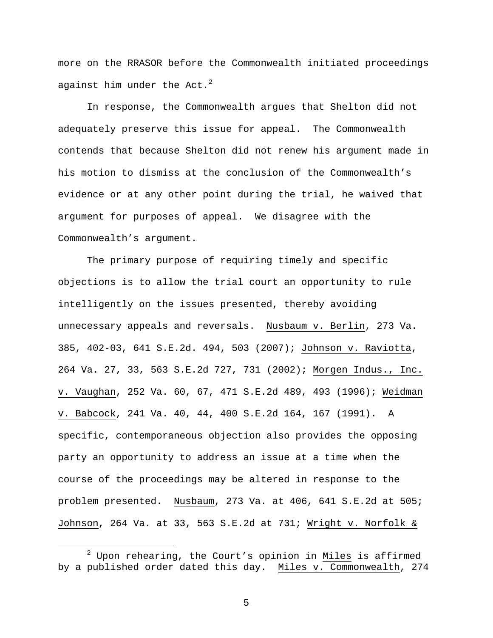more on the RRASOR before the Commonwealth initiated proceedings against him under the Act. $2$ 

 In response, the Commonwealth argues that Shelton did not adequately preserve this issue for appeal. The Commonwealth contends that because Shelton did not renew his argument made in his motion to dismiss at the conclusion of the Commonwealth's evidence or at any other point during the trial, he waived that argument for purposes of appeal. We disagree with the Commonwealth's argument.

The primary purpose of requiring timely and specific objections is to allow the trial court an opportunity to rule intelligently on the issues presented, thereby avoiding unnecessary appeals and reversals. Nusbaum v. Berlin, 273 Va. 385, 402-03, 641 S.E.2d. 494, 503 (2007); Johnson v. Raviotta, 264 Va. 27, 33, 563 S.E.2d 727, 731 (2002); Morgen Indus., Inc. v. Vaughan, 252 Va. 60, 67, 471 S.E.2d 489, 493 (1996); Weidman v. Babcock, 241 Va. 40, 44, 400 S.E.2d 164, 167 (1991). A specific, contemporaneous objection also provides the opposing party an opportunity to address an issue at a time when the course of the proceedings may be altered in response to the problem presented. Nusbaum, 273 Va. at 406, 641 S.E.2d at 505; Johnson, 264 Va. at 33, 563 S.E.2d at 731; Wright v. Norfolk &

 $\overline{\phantom{a}}$  $^2$  Upon rehearing, the Court's opinion in Miles is affirmed by a published order dated this day. Miles v. Commonwealth, 274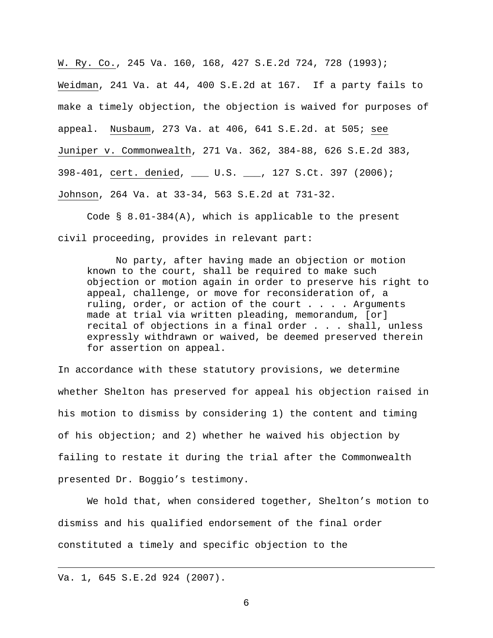W. Ry. Co., 245 Va. 160, 168, 427 S.E.2d 724, 728 (1993); Weidman, 241 Va. at 44, 400 S.E.2d at 167. If a party fails to make a timely objection, the objection is waived for purposes of appeal. Nusbaum, 273 Va. at 406, 641 S.E.2d. at 505; see Juniper v. Commonwealth, 271 Va. 362, 384-88, 626 S.E.2d 383, 398-401, cert. denied, \_\_\_ U.S. \_\_\_, 127 S.Ct. 397 (2006); Johnson, 264 Va. at 33-34, 563 S.E.2d at 731-32.

Code  $\S$  8.01-384(A), which is applicable to the present civil proceeding, provides in relevant part:

No party, after having made an objection or motion known to the court, shall be required to make such objection or motion again in order to preserve his right to appeal, challenge, or move for reconsideration of, a ruling, order, or action of the court . . . . Arguments made at trial via written pleading, memorandum, [or] recital of objections in a final order . . . shall, unless expressly withdrawn or waived, be deemed preserved therein for assertion on appeal.

In accordance with these statutory provisions, we determine whether Shelton has preserved for appeal his objection raised in his motion to dismiss by considering 1) the content and timing of his objection; and 2) whether he waived his objection by failing to restate it during the trial after the Commonwealth presented Dr. Boggio's testimony.

We hold that, when considered together, Shelton's motion to dismiss and his qualified endorsement of the final order constituted a timely and specific objection to the

Va. 1, 645 S.E.2d 924 (2007).

i<br>Li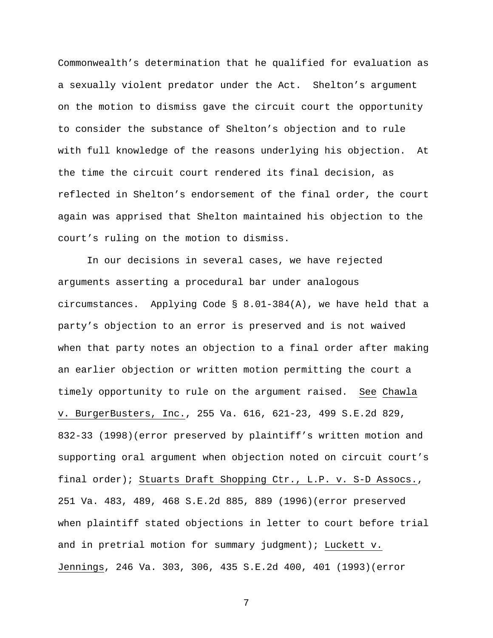Commonwealth's determination that he qualified for evaluation as a sexually violent predator under the Act. Shelton's argument on the motion to dismiss gave the circuit court the opportunity to consider the substance of Shelton's objection and to rule with full knowledge of the reasons underlying his objection. At the time the circuit court rendered its final decision, as reflected in Shelton's endorsement of the final order, the court again was apprised that Shelton maintained his objection to the court's ruling on the motion to dismiss.

In our decisions in several cases, we have rejected arguments asserting a procedural bar under analogous circumstances. Applying Code  $\S$  8.01-384(A), we have held that a party's objection to an error is preserved and is not waived when that party notes an objection to a final order after making an earlier objection or written motion permitting the court a timely opportunity to rule on the argument raised. See Chawla v. BurgerBusters, Inc., 255 Va. 616, 621-23, 499 S.E.2d 829, 832-33 (1998)(error preserved by plaintiff's written motion and supporting oral argument when objection noted on circuit court's final order); Stuarts Draft Shopping Ctr., L.P. v. S-D Assocs., 251 Va. 483, 489, 468 S.E.2d 885, 889 (1996)(error preserved when plaintiff stated objections in letter to court before trial and in pretrial motion for summary judgment); Luckett v. Jennings, 246 Va. 303, 306, 435 S.E.2d 400, 401 (1993)(error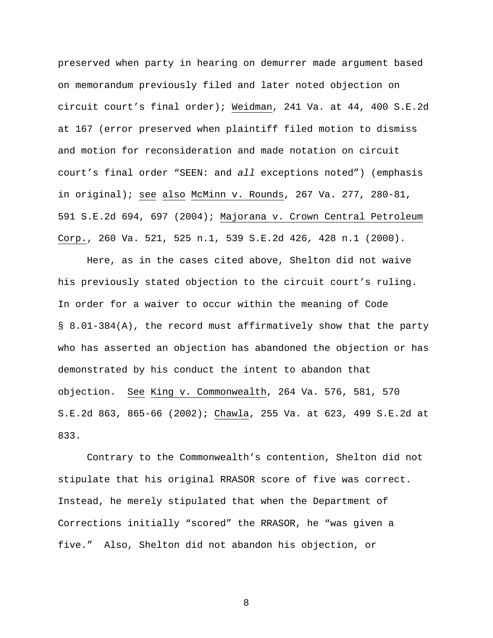preserved when party in hearing on demurrer made argument based on memorandum previously filed and later noted objection on circuit court's final order); Weidman, 241 Va. at 44, 400 S.E.2d at 167 (error preserved when plaintiff filed motion to dismiss and motion for reconsideration and made notation on circuit court's final order "SEEN: and *all* exceptions noted") (emphasis in original); see also McMinn v. Rounds, 267 Va. 277, 280-81, 591 S.E.2d 694, 697 (2004); Majorana v. Crown Central Petroleum Corp., 260 Va. 521, 525 n.1, 539 S.E.2d 426, 428 n.1 (2000).

Here, as in the cases cited above, Shelton did not waive his previously stated objection to the circuit court's ruling. In order for a waiver to occur within the meaning of Code § 8.01-384(A), the record must affirmatively show that the party who has asserted an objection has abandoned the objection or has demonstrated by his conduct the intent to abandon that objection. See King v. Commonwealth, 264 Va. 576, 581, 570 S.E.2d 863, 865-66 (2002); Chawla, 255 Va. at 623, 499 S.E.2d at 833.

Contrary to the Commonwealth's contention, Shelton did not stipulate that his original RRASOR score of five was correct. Instead, he merely stipulated that when the Department of Corrections initially "scored" the RRASOR, he "was given a five." Also, Shelton did not abandon his objection, or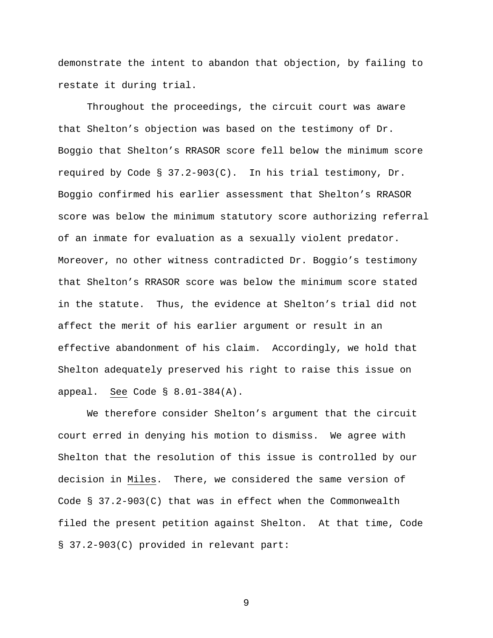demonstrate the intent to abandon that objection, by failing to restate it during trial.

Throughout the proceedings, the circuit court was aware that Shelton's objection was based on the testimony of Dr. Boggio that Shelton's RRASOR score fell below the minimum score required by Code § 37.2-903(C). In his trial testimony, Dr. Boggio confirmed his earlier assessment that Shelton's RRASOR score was below the minimum statutory score authorizing referral of an inmate for evaluation as a sexually violent predator. Moreover, no other witness contradicted Dr. Boggio's testimony that Shelton's RRASOR score was below the minimum score stated in the statute. Thus, the evidence at Shelton's trial did not affect the merit of his earlier argument or result in an effective abandonment of his claim. Accordingly, we hold that Shelton adequately preserved his right to raise this issue on appeal. See Code § 8.01-384(A).

We therefore consider Shelton's argument that the circuit court erred in denying his motion to dismiss. We agree with Shelton that the resolution of this issue is controlled by our decision in Miles. There, we considered the same version of Code § 37.2-903(C) that was in effect when the Commonwealth filed the present petition against Shelton. At that time, Code § 37.2-903(C) provided in relevant part: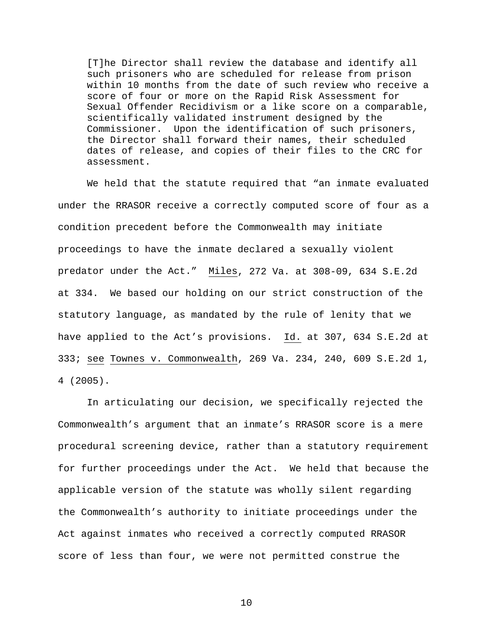[T]he Director shall review the database and identify all such prisoners who are scheduled for release from prison within 10 months from the date of such review who receive a score of four or more on the Rapid Risk Assessment for Sexual Offender Recidivism or a like score on a comparable, scientifically validated instrument designed by the Commissioner. Upon the identification of such prisoners, the Director shall forward their names, their scheduled dates of release, and copies of their files to the CRC for assessment.

We held that the statute required that "an inmate evaluated under the RRASOR receive a correctly computed score of four as a condition precedent before the Commonwealth may initiate proceedings to have the inmate declared a sexually violent predator under the Act." Miles, 272 Va. at 308-09, 634 S.E.2d at 334. We based our holding on our strict construction of the statutory language, as mandated by the rule of lenity that we have applied to the Act's provisions. Id. at 307, 634 S.E.2d at 333; see Townes v. Commonwealth, 269 Va. 234, 240, 609 S.E.2d 1, 4 (2005).

In articulating our decision, we specifically rejected the Commonwealth's argument that an inmate's RRASOR score is a mere procedural screening device, rather than a statutory requirement for further proceedings under the Act. We held that because the applicable version of the statute was wholly silent regarding the Commonwealth's authority to initiate proceedings under the Act against inmates who received a correctly computed RRASOR score of less than four, we were not permitted construe the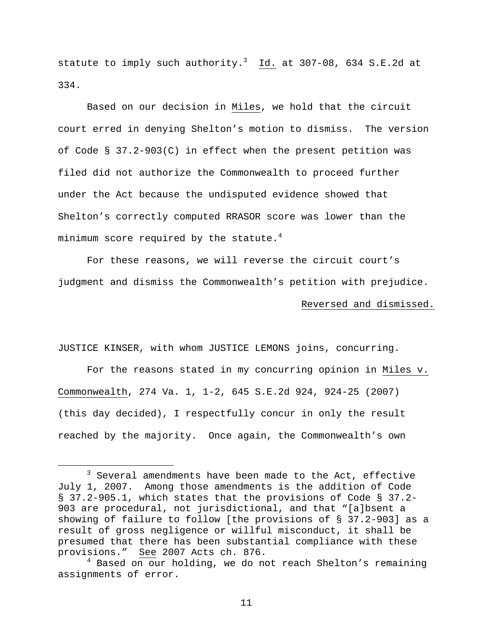statute to imply such authority. $^3$  Id. at 307-08, 634 S.E.2d at 334.

Based on our decision in Miles, we hold that the circuit court erred in denying Shelton's motion to dismiss. The version of Code § 37.2-903(C) in effect when the present petition was filed did not authorize the Commonwealth to proceed further under the Act because the undisputed evidence showed that Shelton's correctly computed RRASOR score was lower than the minimum score required by the statute. $4$ 

For these reasons, we will reverse the circuit court's judgment and dismiss the Commonwealth's petition with prejudice. Reversed and dismissed.

JUSTICE KINSER, with whom JUSTICE LEMONS joins, concurring.

 For the reasons stated in my concurring opinion in Miles v. Commonwealth, 274 Va. 1, 1-2, 645 S.E.2d 924, 924-25 (2007) (this day decided), I respectfully concur in only the result reached by the majority. Once again, the Commonwealth's own

 $\overline{\phantom{a}}$  3  $3$  Several amendments have been made to the Act, effective July 1, 2007. Among those amendments is the addition of Code § 37.2-905.1, which states that the provisions of Code § 37.2- 903 are procedural, not jurisdictional, and that "[a]bsent a showing of failure to follow [the provisions of § 37.2-903] as a result of gross negligence or willful misconduct, it shall be presumed that there has been substantial compliance with these provisions." See 2007 Acts ch. 876.

<sup>&</sup>lt;sup>4</sup> Based on our holding, we do not reach Shelton's remaining assignments of error.